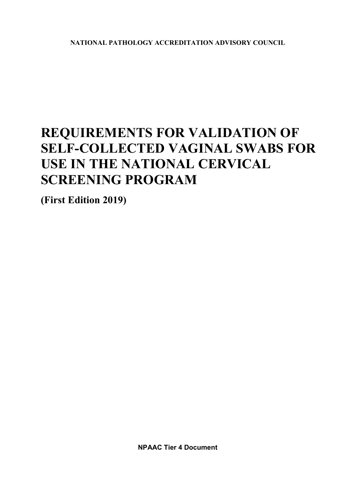# **REQUIREMENTS FOR VALIDATION OF SELF-COLLECTED VAGINAL SWABS FOR USE IN THE NATIONAL CERVICAL SCREENING PROGRAM**

**(First Edition 2019)**

**NPAAC Tier 4 Document**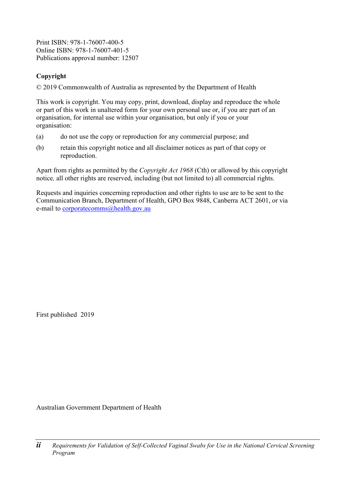Print ISBN: 978-1-76007-400-5 Online ISBN: 978-1-76007-401-5 Publications approval number: 12507

#### **Copyright**

© 2019 Commonwealth of Australia as represented by the Department of Health

This work is copyright. You may copy, print, download, display and reproduce the whole or part of this work in unaltered form for your own personal use or, if you are part of an organisation, for internal use within your organisation, but only if you or your organisation:

- (a) do not use the copy or reproduction for any commercial purpose; and
- (b) retain this copyright notice and all disclaimer notices as part of that copy or reproduction.

Apart from rights as permitted by the *Copyright Act 1968* (Cth) or allowed by this copyright notice*,* all other rights are reserved, including (but not limited to) all commercial rights.

Requests and inquiries concerning reproduction and other rights to use are to be sent to the Communication Branch, Department of Health, GPO Box 9848, Canberra ACT 2601, or via e-mail to corporate comms@health.gov.au

First published 2019

Australian Government Department of Health

*ii Requirements for Validation of Self-Collected Vaginal Swabs for Use in the National Cervical Screening Program*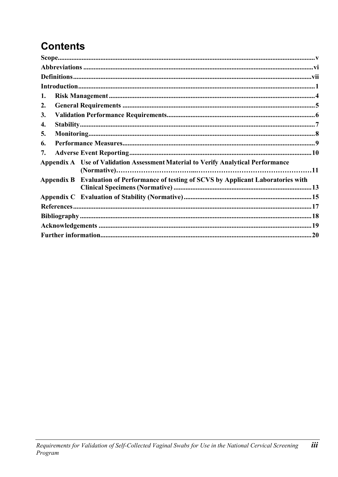# **Contents**

| 1. |                                                                                        |  |
|----|----------------------------------------------------------------------------------------|--|
| 2. |                                                                                        |  |
| 3. |                                                                                        |  |
| 4. |                                                                                        |  |
| 5. |                                                                                        |  |
| 6. |                                                                                        |  |
| 7. |                                                                                        |  |
|    | Appendix A Use of Validation Assessment Material to Verify Analytical Performance      |  |
|    | Appendix B Evaluation of Performance of testing of SCVS by Applicant Laboratories with |  |
|    |                                                                                        |  |
|    |                                                                                        |  |
|    |                                                                                        |  |
|    |                                                                                        |  |
|    |                                                                                        |  |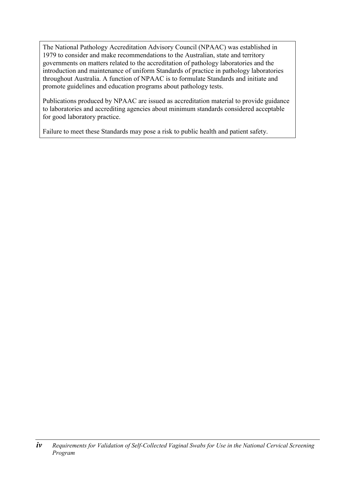The National Pathology Accreditation Advisory Council (NPAAC) was established in 1979 to consider and make recommendations to the Australian, state and territory governments on matters related to the accreditation of pathology laboratories and the introduction and maintenance of uniform Standards of practice in pathology laboratories throughout Australia. A function of NPAAC is to formulate Standards and initiate and promote guidelines and education programs about pathology tests.

Publications produced by NPAAC are issued as accreditation material to provide guidance to laboratories and accrediting agencies about minimum standards considered acceptable for good laboratory practice.

Failure to meet these Standards may pose a risk to public health and patient safety.

*iv Requirements for Validation of Self-Collected Vaginal Swabs for Use in the National Cervical Screening Program*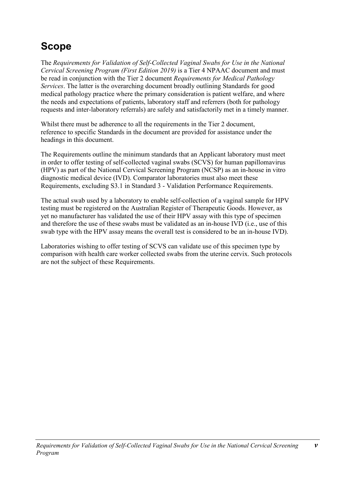# <span id="page-4-0"></span>**Scope**

The *Requirements for Validation of Self-Collected Vaginal Swabs for Use in the National Cervical Screening Program (First Edition 2019)* is a Tier 4 NPAAC document and must be read in conjunction with the Tier 2 document *Requirements for Medical Pathology Services*. The latter is the overarching document broadly outlining Standards for good medical pathology practice where the primary consideration is patient welfare, and where the needs and expectations of patients, laboratory staff and referrers (both for pathology requests and inter-laboratory referrals) are safely and satisfactorily met in a timely manner.

Whilst there must be adherence to all the requirements in the Tier 2 document, reference to specific Standards in the document are provided for assistance under the headings in this document.

The Requirements outline the minimum standards that an Applicant laboratory must meet in order to offer testing of self-collected vaginal swabs (SCVS) for human papillomavirus (HPV) as part of the National Cervical Screening Program (NCSP) as an in-house in vitro diagnostic medical device (IVD). Comparator laboratories must also meet these Requirements, excluding S3.1 in Standard 3 - Validation Performance Requirements.

The actual swab used by a laboratory to enable self-collection of a vaginal sample for HPV testing must be registered on the Australian Register of Therapeutic Goods. However, as yet no manufacturer has validated the use of their HPV assay with this type of specimen and therefore the use of these swabs must be validated as an in-house IVD (i.e., use of this swab type with the HPV assay means the overall test is considered to be an in-house IVD).

Laboratories wishing to offer testing of SCVS can validate use of this specimen type by comparison with health care worker collected swabs from the uterine cervix. Such protocols are not the subject of these Requirements.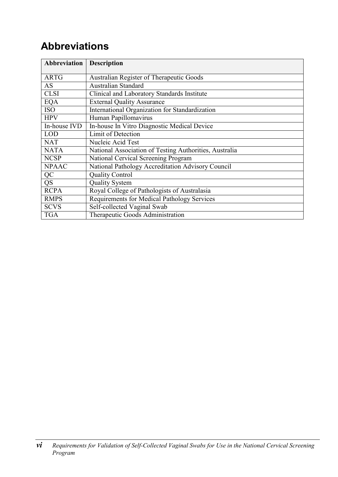### <span id="page-5-0"></span>**Abbreviations**

| <b>Abbreviation</b> | <b>Description</b>                                     |
|---------------------|--------------------------------------------------------|
| <b>ARTG</b>         | Australian Register of Therapeutic Goods               |
| <b>AS</b>           | <b>Australian Standard</b>                             |
| <b>CLSI</b>         | Clinical and Laboratory Standards Institute            |
| <b>EQA</b>          | <b>External Quality Assurance</b>                      |
| <b>ISO</b>          | International Organization for Standardization         |
| <b>HPV</b>          | Human Papillomavirus                                   |
| In-house IVD        | In-house In Vitro Diagnostic Medical Device            |
| <b>LOD</b>          | Limit of Detection                                     |
| <b>NAT</b>          | Nucleic Acid Test                                      |
| <b>NATA</b>         | National Association of Testing Authorities, Australia |
| <b>NCSP</b>         | National Cervical Screening Program                    |
| <b>NPAAC</b>        | National Pathology Accreditation Advisory Council      |
| $\rm QC$            | <b>Quality Control</b>                                 |
| $\overline{QS}$     | <b>Quality System</b>                                  |
| <b>RCPA</b>         | Royal College of Pathologists of Australasia           |
| <b>RMPS</b>         | Requirements for Medical Pathology Services            |
| <b>SCVS</b>         | Self-collected Vaginal Swab                            |
| <b>TGA</b>          | Therapeutic Goods Administration                       |

*vi Requirements for Validation of Self-Collected Vaginal Swabs for Use in the National Cervical Screening Program*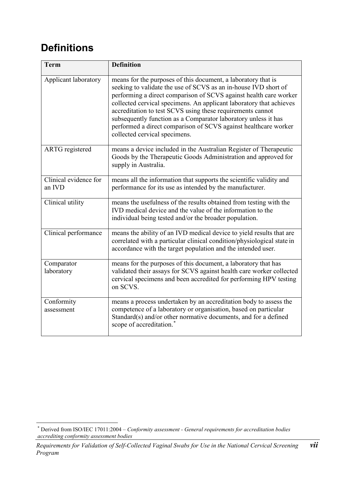# <span id="page-6-0"></span>**Definitions**

| <b>Term</b>                     | <b>Definition</b>                                                                                                                                                                                                                                                                                                                                                                                                                                                                                                |
|---------------------------------|------------------------------------------------------------------------------------------------------------------------------------------------------------------------------------------------------------------------------------------------------------------------------------------------------------------------------------------------------------------------------------------------------------------------------------------------------------------------------------------------------------------|
| Applicant laboratory            | means for the purposes of this document, a laboratory that is<br>seeking to validate the use of SCVS as an in-house IVD short of<br>performing a direct comparison of SCVS against health care worker<br>collected cervical specimens. An applicant laboratory that achieves<br>accreditation to test SCVS using these requirements cannot<br>subsequently function as a Comparator laboratory unless it has<br>performed a direct comparison of SCVS against healthcare worker<br>collected cervical specimens. |
| <b>ARTG</b> registered          | means a device included in the Australian Register of Therapeutic<br>Goods by the Therapeutic Goods Administration and approved for<br>supply in Australia.                                                                                                                                                                                                                                                                                                                                                      |
| Clinical evidence for<br>an IVD | means all the information that supports the scientific validity and<br>performance for its use as intended by the manufacturer.                                                                                                                                                                                                                                                                                                                                                                                  |
| Clinical utility                | means the usefulness of the results obtained from testing with the<br>IVD medical device and the value of the information to the<br>individual being tested and/or the broader population.                                                                                                                                                                                                                                                                                                                       |
| Clinical performance            | means the ability of an IVD medical device to yield results that are<br>correlated with a particular clinical condition/physiological state in<br>accordance with the target population and the intended user.                                                                                                                                                                                                                                                                                                   |
| Comparator<br>laboratory        | means for the purposes of this document, a laboratory that has<br>validated their assays for SCVS against health care worker collected<br>cervical specimens and been accredited for performing HPV testing<br>on SCVS.                                                                                                                                                                                                                                                                                          |
| Conformity<br>assessment        | means a process undertaken by an accreditation body to assess the<br>competence of a laboratory or organisation, based on particular<br>Standard(s) and/or other normative documents, and for a defined<br>scope of accreditation.                                                                                                                                                                                                                                                                               |

<span id="page-6-1"></span> <sup>\*</sup> Derived from ISO/IEC 17011:2004 – *Conformity assessment - General requirements for accreditation bodies accrediting conformity assessment bodies*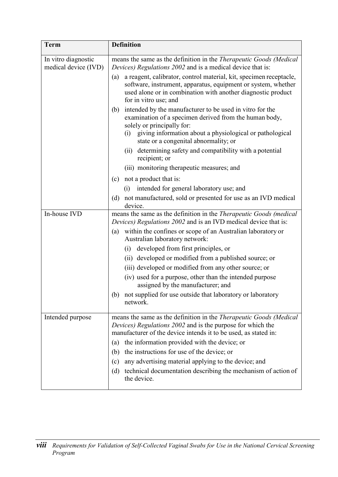| <b>Term</b>                                 | <b>Definition</b>                                                                                                                                                                                                                   |  |  |  |
|---------------------------------------------|-------------------------------------------------------------------------------------------------------------------------------------------------------------------------------------------------------------------------------------|--|--|--|
| In vitro diagnostic<br>medical device (IVD) | means the same as the definition in the <i>Therapeutic Goods (Medical</i> )<br>Devices) Regulations 2002 and is a medical device that is:                                                                                           |  |  |  |
|                                             | a reagent, calibrator, control material, kit, specimen receptacle,<br>(a)<br>software, instrument, apparatus, equipment or system, whether<br>used alone or in combination with another diagnostic product<br>for in vitro use; and |  |  |  |
|                                             | intended by the manufacturer to be used in vitro for the<br>(b)<br>examination of a specimen derived from the human body,<br>solely or principally for:<br>giving information about a physiological or pathological<br>(i)          |  |  |  |
|                                             | state or a congenital abnormality; or                                                                                                                                                                                               |  |  |  |
|                                             | determining safety and compatibility with a potential<br>(ii)<br>recipient; or                                                                                                                                                      |  |  |  |
|                                             | (iii) monitoring therapeutic measures; and                                                                                                                                                                                          |  |  |  |
|                                             | not a product that is:<br>(c)                                                                                                                                                                                                       |  |  |  |
|                                             | intended for general laboratory use; and<br>(i)                                                                                                                                                                                     |  |  |  |
|                                             | not manufactured, sold or presented for use as an IVD medical<br>(d)<br>device.                                                                                                                                                     |  |  |  |
| In-house IVD                                | means the same as the definition in the Therapeutic Goods (medical<br>Devices) Regulations 2002 and is an IVD medical device that is:                                                                                               |  |  |  |
|                                             | within the confines or scope of an Australian laboratory or<br>(a)<br>Australian laboratory network:                                                                                                                                |  |  |  |
|                                             | (i) developed from first principles, or                                                                                                                                                                                             |  |  |  |
|                                             | (ii) developed or modified from a published source; or                                                                                                                                                                              |  |  |  |
|                                             | (iii) developed or modified from any other source; or                                                                                                                                                                               |  |  |  |
|                                             | (iv) used for a purpose, other than the intended purpose<br>assigned by the manufacturer; and                                                                                                                                       |  |  |  |
|                                             | not supplied for use outside that laboratory or laboratory<br>(b)<br>network.                                                                                                                                                       |  |  |  |
| Intended purpose                            | means the same as the definition in the <i>Therapeutic Goods (Medical</i> )<br>Devices) Regulations 2002 and is the purpose for which the<br>manufacturer of the device intends it to be used, as stated in:                        |  |  |  |
|                                             | the information provided with the device; or<br>(a)                                                                                                                                                                                 |  |  |  |
|                                             | the instructions for use of the device; or<br>(b)                                                                                                                                                                                   |  |  |  |
|                                             | any advertising material applying to the device; and<br>(c)                                                                                                                                                                         |  |  |  |
|                                             | technical documentation describing the mechanism of action of<br>(d)<br>the device.                                                                                                                                                 |  |  |  |

*viii Requirements for Validation of Self-Collected Vaginal Swabs for Use in the National Cervical Screening Program*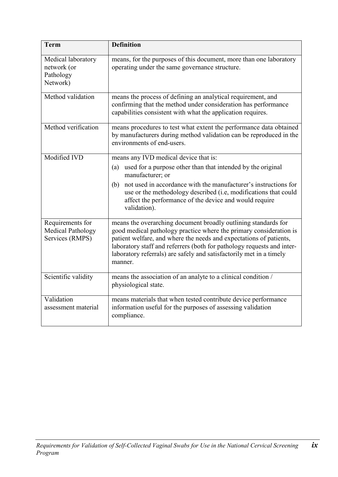| <b>Term</b>                                                     | <b>Definition</b>                                                                                                                                                                                                                                                                                                                                                      |  |
|-----------------------------------------------------------------|------------------------------------------------------------------------------------------------------------------------------------------------------------------------------------------------------------------------------------------------------------------------------------------------------------------------------------------------------------------------|--|
| Medical laboratory<br>network (or<br>Pathology<br>Network)      | means, for the purposes of this document, more than one laboratory<br>operating under the same governance structure.                                                                                                                                                                                                                                                   |  |
| Method validation                                               | means the process of defining an analytical requirement, and<br>confirming that the method under consideration has performance<br>capabilities consistent with what the application requires.                                                                                                                                                                          |  |
| Method verification                                             | means procedures to test what extent the performance data obtained<br>by manufacturers during method validation can be reproduced in the<br>environments of end-users.                                                                                                                                                                                                 |  |
| Modified IVD                                                    | means any IVD medical device that is:                                                                                                                                                                                                                                                                                                                                  |  |
|                                                                 | used for a purpose other than that intended by the original<br>(a)<br>manufacturer; or                                                                                                                                                                                                                                                                                 |  |
|                                                                 | not used in accordance with the manufacturer's instructions for<br>(b)<br>use or the methodology described (i.e, modifications that could<br>affect the performance of the device and would require<br>validation).                                                                                                                                                    |  |
| Requirements for<br><b>Medical Pathology</b><br>Services (RMPS) | means the overarching document broadly outlining standards for<br>good medical pathology practice where the primary consideration is<br>patient welfare, and where the needs and expectations of patients,<br>laboratory staff and referrers (both for pathology requests and inter-<br>laboratory referrals) are safely and satisfactorily met in a timely<br>manner. |  |
| Scientific validity                                             | means the association of an analyte to a clinical condition /<br>physiological state.                                                                                                                                                                                                                                                                                  |  |
| Validation<br>assessment material                               | means materials that when tested contribute device performance<br>information useful for the purposes of assessing validation<br>compliance.                                                                                                                                                                                                                           |  |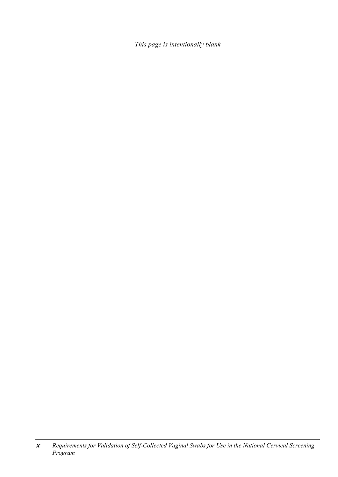*This page is intentionally blank*

*x Requirements for Validation of Self-Collected Vaginal Swabs for Use in the National Cervical Screening Program*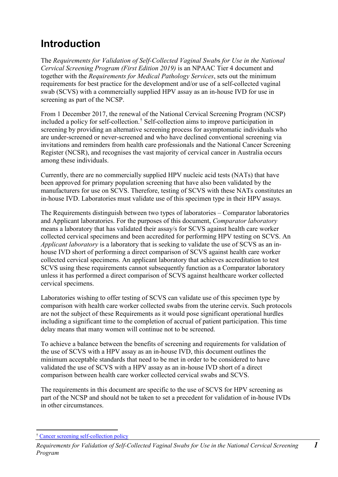# <span id="page-10-0"></span>**Introduction**

The *Requirements for Validation of Self-Collected Vaginal Swab*s *for Use in the National Cervical Screening Program (First Edition 2019)* is an NPAAC Tier 4 document and together with the *Requirements for Medical Pathology Services*, sets out the minimum requirements for best practice for the development and/or use of a self-collected vaginal swab (SCVS) with a commercially supplied HPV assay as an in-house IVD for use in screening as part of the NCSP.

From 1 December 2017, the renewal of the National Cervical Screening Program (NCSP) included a policy for self-collection. [†](#page-10-1) Self-collection aims to improve participation in screening by providing an alternative screening process for asymptomatic individuals who are under-screened or never-screened and who have declined conventional screening via invitations and reminders from health care professionals and the National Cancer Screening Register (NCSR), and recognises the vast majority of cervical cancer in Australia occurs among these individuals.

Currently, there are no commercially supplied HPV nucleic acid tests (NATs) that have been approved for primary population screening that have also been validated by the manufacturers for use on SCVS. Therefore, testing of SCVS with these NATs constitutes an in-house IVD. Laboratories must validate use of this specimen type in their HPV assays.

The Requirements distinguish between two types of laboratories – Comparator laboratories and Applicant laboratories. For the purposes of this document, *Comparator laboratory*  means a laboratory that has validated their assay/s for SCVS against health care worker collected cervical specimens and been accredited for performing HPV testing on SCVS. An *Applicant laboratory* is a laboratory that is seeking to validate the use of SCVS as an inhouse IVD short of performing a direct comparison of SCVS against health care worker collected cervical specimens. An applicant laboratory that achieves accreditation to test SCVS using these requirements cannot subsequently function as a Comparator laboratory unless it has performed a direct comparison of SCVS against healthcare worker collected cervical specimens.

Laboratories wishing to offer testing of SCVS can validate use of this specimen type by comparison with health care worker collected swabs from the uterine cervix. Such protocols are not the subject of these Requirements as it would pose significant operational hurdles including a significant time to the completion of accrual of patient participation. This time delay means that many women will continue not to be screened.

To achieve a balance between the benefits of screening and requirements for validation of the use of SCVS with a HPV assay as an in-house IVD, this document outlines the minimum acceptable standards that need to be met in order to be considered to have validated the use of SCVS with a HPV assay as an in-house IVD short of a direct comparison between health care worker collected cervical swabs and SCVS.

The requirements in this document are specific to the use of SCVS for HPV screening as part of the NCSP and should not be taken to set a precedent for validation of in-house IVDs in other circumstances.

<span id="page-10-1"></span> <sup>†</sup> [Cancer screening self-collection policy](http://www.cancerscreening.gov.au/internet/screening/publishing.nsf/Content/self-collection-policy)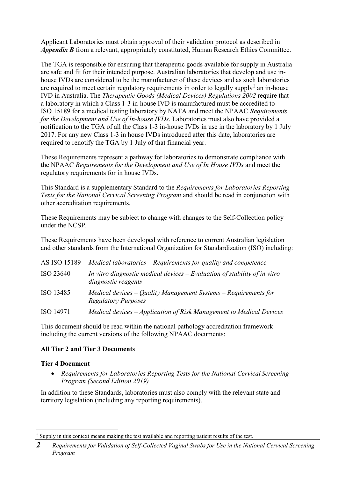Applicant Laboratories must obtain approval of their validation protocol as described in *Appendix B* from a relevant, appropriately constituted, Human Research Ethics Committee.

The TGA is responsible for ensuring that therapeutic goods available for supply in Australia are safe and fit for their intended purpose. Australian laboratories that develop and use inhouse IVDs are considered to be the manufacturer of these devices and as such laboratories are required to meet certain regulatory requirements in order to legally supply<sup> $\ddagger$ </sup> an in-house IVD in Australia. The *Therapeutic Goods (Medical Devices) Regulations 2002* require that a laboratory in which a Class 1-3 in-house IVD is manufactured must be accredited to ISO 15189 for a medical testing laboratory by NATA and meet the NPAAC *Requirements for the Development and Use of In-house IVDs*. Laboratories must also have provided a notification to the TGA of all the Class 1-3 in-house IVDs in use in the laboratory by 1 July 2017. For any new Class 1-3 in house IVDs introduced after this date, laboratories are required to renotify the TGA by 1 July of that financial year.

These Requirements represent a pathway for laboratories to demonstrate compliance with the NPAAC *Requirements for the Development and Use of In House IVDs* and meet the regulatory requirements for in house IVDs.

This Standard is a supplementary Standard to the *Requirements for Laboratories Reporting Tests for the National Cervical Screening Program* and should be read in conjunction with other accreditation requirements*.*

These Requirements may be subject to change with changes to the Self-Collection policy under the NCSP.

These Requirements have been developed with reference to current Australian legislation and other standards from the International Organization for Standardization (ISO) including:

| AS ISO 15189 | $Medical\ laboratories$ - Requirements for quality and competence                                  |
|--------------|----------------------------------------------------------------------------------------------------|
| ISO 23640    | In vitro diagnostic medical devices $-E$ valuation of stability of in vitro<br>diagnostic reagents |
| ISO 13485    | $Medical devices - Quality Management Systems - Requirements for$<br><b>Regulatory Purposes</b>    |
| ISO 14971    | Medical devices - Application of Risk Management to Medical Devices                                |

This document should be read within the national pathology accreditation framework including the current versions of the following NPAAC documents:

#### **All Tier 2 and Tier 3 Documents**

#### **Tier 4 Document**

• *Requirements for Laboratories Reporting Tests for the National Cervical Screening Program (Second Edition 2019)*

In addition to these Standards, laboratories must also comply with the relevant state and territory legislation (including any reporting requirements).

<span id="page-11-0"></span> <sup>‡</sup> Supply in this context means making the test available and reporting patient results of the test.

*<sup>2</sup> Requirements for Validation of Self-Collected Vaginal Swabs for Use in the National Cervical Screening Program*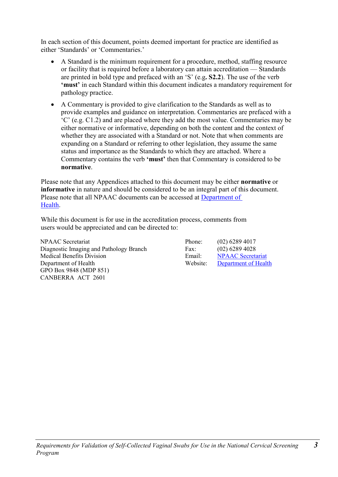In each section of this document, points deemed important for practice are identified as either 'Standards' or 'Commentaries.'

- A Standard is the minimum requirement for a procedure, method, staffing resource or facility that is required before a laboratory can attain accreditation — Standards are printed in bold type and prefaced with an 'S' (e.g**. S2.2**). The use of the verb **'must'** in each Standard within this document indicates a mandatory requirement for pathology practice.
- A Commentary is provided to give clarification to the Standards as well as to provide examples and guidance on interpretation. Commentaries are prefaced with a 'C' (e.g. C1.2) and are placed where they add the most value. Commentaries may be either normative or informative, depending on both the content and the context of whether they are associated with a Standard or not. Note that when comments are expanding on a Standard or referring to other legislation, they assume the same status and importance as the Standards to which they are attached. Where a Commentary contains the verb **'must'** then that Commentary is considered to be **normative**.

Please note that any Appendices attached to this document may be either **normative** or **informative** in nature and should be considered to be an integral part of this document. Please note that all NPAAC documents can be accessed at [Department of](http://www.health.gov.au/npaac)  [Health.](http://www.health.gov.au/npaac)

While this document is for use in the accreditation process, comments from users would be appreciated and can be directed to:

NPAAC Secretariat Phone: (02) 6289 4017 Diagnostic Imaging and Pathology Branch F Medical Benefits Division Email: New York Secretary Architecture Email: New York Secretary Architecture Email: N<br>New York Secretary Architecture Secretary Architecture Secretary Architecture Secretary Architecture Secretar [Department of Health](http://www.health.gov.au/npaac) Website: Department of Health GPO Box 9848 (MDP 851) CANBERRA ACT 2601

| $(02)$ 6289 4017         |
|--------------------------|
| $(02)$ 6289 4028         |
| <b>NPAAC</b> Secretariat |
| Department of Health     |
|                          |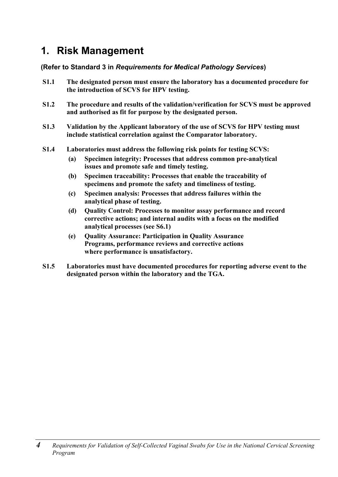### <span id="page-13-0"></span>**1. Risk Management**

#### **(Refer to Standard 3 in** *Requirements for Medical Pathology Services***)**

- **S1.1 The designated person must ensure the laboratory has a documented procedure for the introduction of SCVS for HPV testing.**
- **S1.2 The procedure and results of the validation/verification for SCVS must be approved and authorised as fit for purpose by the designated person.**
- **S1.3 Validation by the Applicant laboratory of the use of SCVS for HPV testing must include statistical correlation against the Comparator laboratory.**
- **S1.4 Laboratories must address the following risk points for testing SCVS:**
	- **(a) Specimen integrity: Processes that address common pre-analytical issues and promote safe and timely testing.**
	- **(b) Specimen traceability: Processes that enable the traceability of specimens and promote the safety and timeliness of testing.**
	- **(c) Specimen analysis: Processes that address failures within the analytical phase of testing.**
	- **(d) Quality Control: Processes to monitor assay performance and record corrective actions; and internal audits with a focus on the modified analytical processes (see S6.1)**
	- **(e) Quality Assurance: Participation in Quality Assurance Programs, performance reviews and corrective actions where performance is unsatisfactory.**
- **S1.5 Laboratories must have documented procedures for reporting adverse event to the designated person within the laboratory and the TGA.**

*<sup>4</sup> Requirements for Validation of Self-Collected Vaginal Swabs for Use in the National Cervical Screening Program*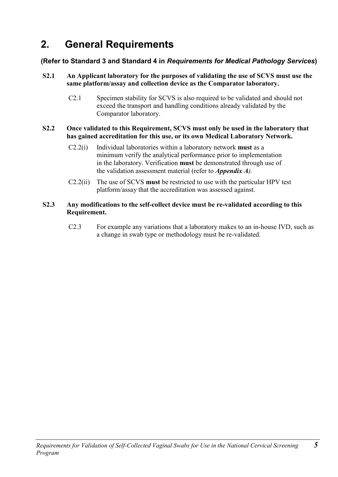### <span id="page-14-0"></span>**2. General Requirements**

#### **(Refer to Standard 3 and Standard 4 in** *Requirements for Medical Pathology Services***)**

#### **S2.1 An Applicant laboratory for the purposes of validating the use of SCVS must use the same platform/assay and collection device as the Comparator laboratory.**

C2.1 Specimen stability for SCVS is also required to be validated and should not exceed the transport and handling conditions already validated by the Comparator laboratory.

#### **S2.2 Once validated to this Requirement, SCVS must only be used in the laboratory that has gained accreditation for this use, or its own Medical Laboratory Network.**

- C2.2(i) Individual laboratories within a laboratory network **must** as a minimum verify the analytical performance prior to implementation in the laboratory. Verification **must** be demonstrated through use of the validation assessment material (refer to *Appendix A).*
- C2.2(ii) The use of SCVS **must** be restricted to use with the particular HPV test platform/assay that the accreditation was assessed against.

#### **S2.3 Any modifications to the self-collect device must be re-validated according to this Requirement.**

C2.3 For example any variations that a laboratory makes to an in-house IVD, such as a change in swab type or methodology must be re-validated.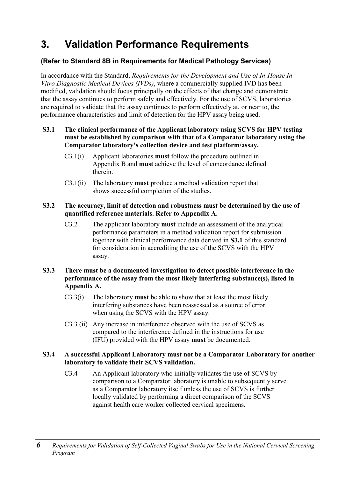### <span id="page-15-0"></span>**3. Validation Performance Requirements**

#### **(Refer to Standard 8B in Requirements for Medical Pathology Services)**

In accordance with the Standard, *Requirements for the Development and Use of In-House In Vitro Diagnostic Medical Devices (IVDs)*, where a commercially supplied IVD has been modified, validation should focus principally on the effects of that change and demonstrate that the assay continues to perform safely and effectively. For the use of SCVS, laboratories are required to validate that the assay continues to perform effectively at, or near to, the performance characteristics and limit of detection for the HPV assay being used.

#### **S3.1 The clinical performance of the Applicant laboratory using SCVS for HPV testing must be established by comparison with that of a Comparator laboratory using the Comparator laboratory's collection device and test platform/assay.**

- C3.1(i) Applicant laboratories **must** follow the procedure outlined in Appendix B and **must** achieve the level of concordance defined therein.
- C3.1(ii) The laboratory **must** produce a method validation report that shows successful completion of the studies.

#### **S3.2 The accuracy, limit of detection and robustness must be determined by the use of quantified reference materials. Refer to Appendix A.**

C3.2 The applicant laboratory **must** include an assessment of the analytical performance parameters in a method validation report for submission together with clinical performance data derived in **S3.1** of this standard for consideration in accrediting the use of the SCVS with the HPV assay.

#### **S3.3 There must be a documented investigation to detect possible interference in the performance of the assay from the most likely interfering substance(s), listed in Appendix A.**

- C3.3(i) The laboratory **must** be able to show that at least the most likely interfering substances have been reassessed as a source of error when using the SCVS with the HPV assay.
- C3.3 (ii) Any increase in interference observed with the use of SCVS as compared to the interference defined in the instructions for use (IFU) provided with the HPV assay **must** be documented.

#### **S3.4 A successful Applicant Laboratory must not be a Comparator Laboratory for another laboratory to validate their SCVS validation.**

C3.4 An Applicant laboratory who initially validates the use of SCVS by comparison to a Comparator laboratory is unable to subsequently serve as a Comparator laboratory itself unless the use of SCVS is further locally validated by performing a direct comparison of the SCVS against health care worker collected cervical specimens.

*<sup>6</sup> Requirements for Validation of Self-Collected Vaginal Swabs for Use in the National Cervical Screening Program*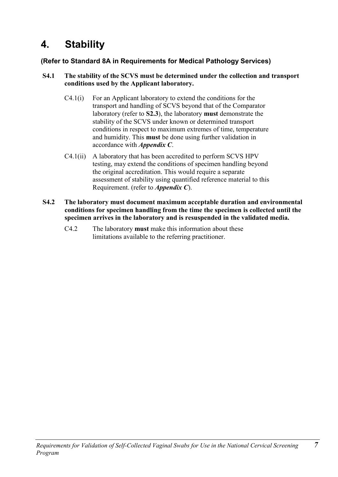### <span id="page-16-0"></span>**4. Stability**

#### **(Refer to Standard 8A in Requirements for Medical Pathology Services)**

#### **S4.1 The stability of the SCVS must be determined under the collection and transport conditions used by the Applicant laboratory.**

- C4.1(i) For an Applicant laboratory to extend the conditions for the transport and handling of SCVS beyond that of the Comparator laboratory (refer to **S2.3**), the laboratory **must** demonstrate the stability of the SCVS under known or determined transport conditions in respect to maximum extremes of time, temperature and humidity. This **must** be done using further validation in accordance with *Appendix C*.
- C4.1(ii) A laboratory that has been accredited to perform SCVS HPV testing, may extend the conditions of specimen handling beyond the original accreditation. This would require a separate assessment of stability using quantified reference material to this Requirement. (refer to *Appendix C*).
- **S4.2 The laboratory must document maximum acceptable duration and environmental conditions for specimen handling from the time the specimen is collected until the specimen arrives in the laboratory and is resuspended in the validated media.** 
	- C4.2 The laboratory **must** make this information about these limitations available to the referring practitioner.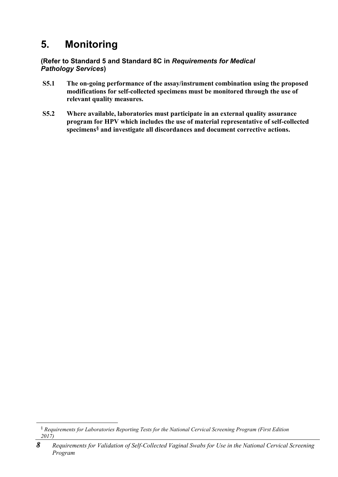### <span id="page-17-0"></span>**5. Monitoring**

#### **(Refer to Standard 5 and Standard 8C in** *Requirements for Medical Pathology Services***)**

- **S5.1 The on-going performance of the assay/instrument combination using the proposed modifications for self-collected specimens must be monitored through the use of relevant quality measures.**
- **S5.2 Where available, laboratories must participate in an external quality assurance program for HPV which includes the use of material representative of self-collected specimens[§](#page-17-1) and investigate all discordances and document corrective actions.**

<span id="page-17-1"></span> <sup>§</sup> *Requirements for Laboratories Reporting Tests for the National Cervical Screening Program (First Edition 2017)*

*<sup>8</sup> Requirements for Validation of Self-Collected Vaginal Swabs for Use in the National Cervical Screening Program*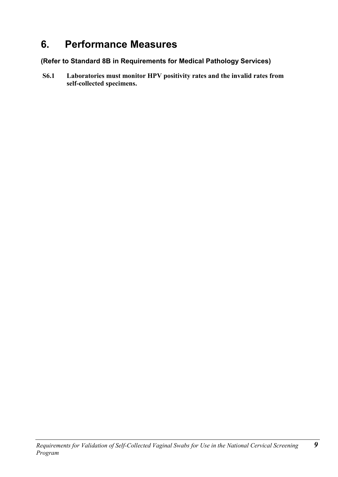### <span id="page-18-0"></span>**6. Performance Measures**

**(Refer to Standard 8B in Requirements for Medical Pathology Services)**

**S6.1 Laboratories must monitor HPV positivity rates and the invalid rates from self-collected specimens.**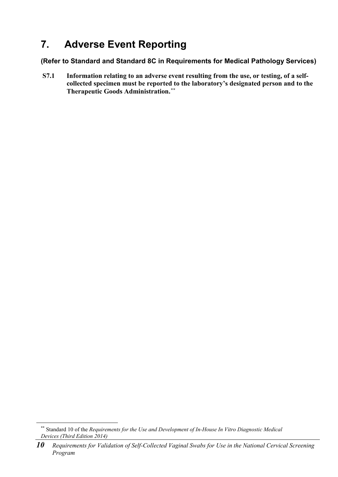### <span id="page-19-0"></span>**7. Adverse Event Reporting**

**(Refer to Standard and Standard 8C in Requirements for Medical Pathology Services)**

<span id="page-19-1"></span>**S7.1 Information relating to an adverse event resulting from the use, or testing, of a selfcollected specimen must be reported to the laboratory's designated person and to the Therapeutic Goods Administration[.\\*\\*](#page-19-1)**

<span id="page-19-2"></span> <sup>\*\*</sup> Standard 10 of the *Requirements for the Use and Development of In-House In Vitro Diagnostic Medical Devices (Third Edition 2014)*

*<sup>10</sup> Requirements for Validation of Self-Collected Vaginal Swabs for Use in the National Cervical Screening Program*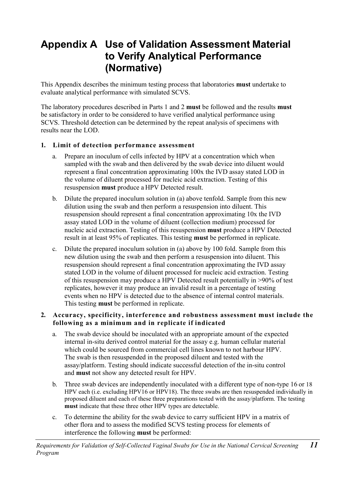### <span id="page-20-0"></span>**Appendix A Use of Validation Assessment Material to Verify Analytical Performance (Normative)**

This Appendix describes the minimum testing process that laboratories **must** undertake to evaluate analytical performance with simulated SCVS.

The laboratory procedures described in Parts 1 and 2 **must** be followed and the results **must**  be satisfactory in order to be considered to have verified analytical performance using SCVS. Threshold detection can be determined by the repeat analysis of specimens with results near the LOD.

#### **1. Limit of detection performance assessment**

- a. Prepare an inoculum of cells infected by HPV at a concentration which when sampled with the swab and then delivered by the swab device into diluent would represent a final concentration approximating 100x the IVD assay stated LOD in the volume of diluent processed for nucleic acid extraction. Testing of this resuspension **must** produce a HPV Detected result.
- b. Dilute the prepared inoculum solution in (a) above tenfold. Sample from this new dilution using the swab and then perform a resuspension into diluent. This resuspension should represent a final concentration approximating 10x the IVD assay stated LOD in the volume of diluent (collection medium) processed for nucleic acid extraction. Testing of this resuspension **must** produce a HPV Detected result in at least 95% of replicates. This testing **must** be performed in replicate.
- c. Dilute the prepared inoculum solution in (a) above by 100 fold. Sample from this new dilution using the swab and then perform a resuspension into diluent. This resuspension should represent a final concentration approximating the IVD assay stated LOD in the volume of diluent processed for nucleic acid extraction. Testing of this resuspension may produce a HPV Detected result potentially in >90% of test replicates, however it may produce an invalid result in a percentage of testing events when no HPV is detected due to the absence of internal control materials. This testing **must** be performed in replicate.

#### **2. Accuracy, specificity, interference and robustness assessment must include the following as a minimum and in replicate if indicated**

- a. The swab device should be inoculated with an appropriate amount of the expected internal in-situ derived control material for the assay e.g. human cellular material which could be sourced from commercial cell lines known to not harbour HPV. The swab is then resuspended in the proposed diluent and tested with the assay/platform. Testing should indicate successful detection of the in-situ control and **must** not show any detected result for HPV.
- b. Three swab devices are independently inoculated with a different type of non-type 16 or 18 HPV each (i.e. excluding HPV16 or HPV18). The three swabs are then resuspended individually in proposed diluent and each of these three preparations tested with the assay/platform. The testing **must** indicate that these three other HPV types are detectable.
- c. To determine the ability for the swab device to carry sufficient HPV in a matrix of other flora and to assess the modified SCVS testing process for elements of interference the following **must** be performed: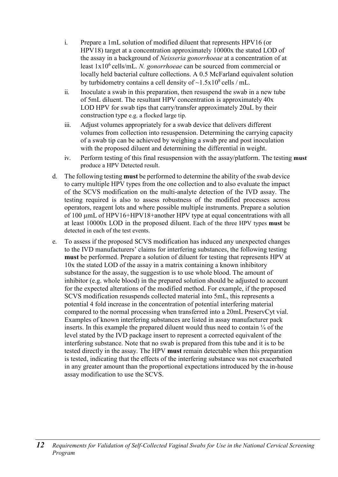- i. Prepare a 1mL solution of modified diluent that represents HPV16 (or HPV18) target at a concentration approximately 10000x the stated LOD of the assay in a background of *Neisseria gonorrhoeae* at a concentration of at least 1x106 cells/mL. *N. gonorrhoeae* can be sourced from commercial or locally held bacterial culture collections. A 0.5 McFarland equivalent solution by turbidometry contains a cell density of  $\sim$ 1.5x10<sup>8</sup> cells / mL.
- ii. Inoculate a swab in this preparation, then resuspend the swab in a new tube of 5mL diluent. The resultant HPV concentration is approximately 40x LOD HPV for swab tips that carry/transfer approximately 20uL by their construction type e.g. a flocked large tip.
- iii. Adjust volumes appropriately for a swab device that delivers different volumes from collection into resuspension. Determining the carrying capacity of a swab tip can be achieved by weighing a swab pre and post inoculation with the proposed diluent and determining the differential in weight.
- iv. Perform testing of this final resuspension with the assay/platform. The testing **must**  produce a HPV Detected result.
- d. The following testing **must** be performed to determine the ability of the swab device to carry multiple HPV types from the one collection and to also evaluate the impact of the SCVS modification on the multi-analyte detection of the IVD assay. The testing required is also to assess robustness of the modified processes across operators, reagent lots and where possible multiple instruments. Prepare a solution of 100 µmL of HPV16+HPV18+another HPV type at equal concentrations with all at least 10000x LOD in the proposed diluent. Each of the three HPV types **must** be detected in each of the test events.
- e. To assess if the proposed SCVS modification has induced any unexpected changes to the IVD manufacturers' claims for interfering substances, the following testing **must** be performed. Prepare a solution of diluent for testing that represents HPV at 10x the stated LOD of the assay in a matrix containing a known inhibitory substance for the assay, the suggestion is to use whole blood. The amount of inhibitor (e.g. whole blood) in the prepared solution should be adjusted to account for the expected alterations of the modified method. For example, if the proposed SCVS modification resuspends collected material into 5mL, this represents a potential 4 fold increase in the concentration of potential interfering material compared to the normal processing when transferred into a 20mL PreservCyt vial. Examples of known interfering substances are listed in assay manufacturer pack inserts. In this example the prepared diluent would thus need to contain  $\frac{1}{4}$  of the level stated by the IVD package insert to represent a corrected equivalent of the interfering substance. Note that no swab is prepared from this tube and it is to be tested directly in the assay. The HPV **must** remain detectable when this preparation is tested, indicating that the effects of the interfering substance was not exacerbated in any greater amount than the proportional expectations introduced by the in-house assay modification to use the SCVS.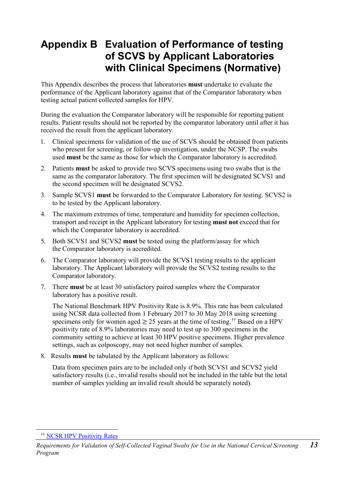### <span id="page-22-0"></span>**Appendix B Evaluation of Performance of testing of SCVS by Applicant Laboratories with Clinical Specimens (Normative)**

This Appendix describes the process that laboratories **must** undertake to evaluate the performance of the Applicant laboratory against that of the Comparator laboratory when testing actual patient collected samples for HPV.

During the evaluation the Comparator laboratory will be responsible for reporting patient results. Patient results should not be reported by the comparator laboratory until after it has received the result from the applicant laboratory.

- 1. Clinical specimens for validation of the use of SCVS should be obtained from patients who present for screening, or follow-up investigation, under the NCSP. The swabs used **must** be the same as those for which the Comparator laboratory is accredited.
- 2. Patients **must** be asked to provide two SCVS specimens using two swabs that is the same as the comparator laboratory. The first specimen will be designated SCVS1 and the second specimen will be designated SCVS2.
- 3. Sample SCVS1 **must** be forwarded to the Comparator Laboratory for testing. SCVS2 is to be tested by the Applicant laboratory.
- 4. The maximum extremes of time, temperature and humidity for specimen collection, transport and receipt in the Applicant laboratory for testing **must not** exceed that for which the Comparator laboratory is accredited.
- 5. Both SCVS1 and SCVS2 **must** be tested using the platform/assay for which the Comparator laboratory is accredited.
- 6. The Comparator laboratory will provide the SCVS1 testing results to the applicant laboratory. The Applicant laboratory will provide the SCVS2 testing results to the Comparator laboratory.
- 7. There **must** be at least 30 satisfactory paired samples where the Comparator laboratory has a positive result.

The National Benchmark HPV Positivity Rate is 8.9%. This rate has been calculated using NCSR data collected from 1 February 2017 to 30 May 2018 using screening specimens only for women aged  $\geq$  25 years at the time of testing.<sup>[††](#page-22-1)</sup> Based on a HPV positivity rate of 8.9% laboratories may need to test up to 300 specimens in the community setting to achieve at least 30 HPV positive specimens. Higher prevalence settings, such as colposcopy, may not need higher number of samples.

8. Results **must** be tabulated by the Applicant laboratory as follows:

Data from specimen pairs are to be included only if both SCVS1 and SCVS2 yield satisfactory results (i.e., invalid results should not be included in the table but the total number of samples yielding an invalid result should be separately noted).

<span id="page-22-1"></span><sup>&</sup>lt;sup>††</sup> [NCSR HPV Positivity Rates](https://www.ncsr.gov.au/content/ncsr/en/hpv-positivity-rates.html)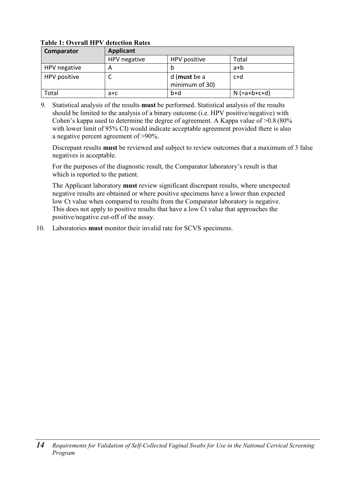| Comparator   | <b>Applicant</b> |                                |                |
|--------------|------------------|--------------------------------|----------------|
|              | HPV negative     | HPV positive                   | Total          |
| HPV negative | А                | b                              | a+b            |
| HPV positive | ֊                | d (must be a<br>minimum of 30) | c+d            |
| Total        | a+c              | $b+d$                          | $N$ (=a+b+c+d) |

#### **Table 1: Overall HPV detection Rates**

9. Statistical analysis of the results **must** be performed. Statistical analysis of the results should be limited to the analysis of a binary outcome (i.e. HPV positive/negative) with Cohen's kappa used to determine the degree of agreement. A Kappa value of >0.8 (80% with lower limit of 95% CI) would indicate acceptable agreement provided there is also a negative percent agreement of >90%.

Discrepant results **must** be reviewed and subject to review outcomes that a maximum of 3 false negatives is acceptable.

For the purposes of the diagnostic result, the Comparator laboratory's result is that which is reported to the patient.

The Applicant laboratory **must** review significant discrepant results, where unexpected negative results are obtained or where positive specimens have a lower than expected low Ct value when compared to results from the Comparator laboratory is negative. This does not apply to positive results that have a low Ct value that approaches the positive/negative cut-off of the assay.

10. Laboratories **must** monitor their invalid rate for SCVS specimens.

*<sup>14</sup> Requirements for Validation of Self-Collected Vaginal Swabs for Use in the National Cervical Screening Program*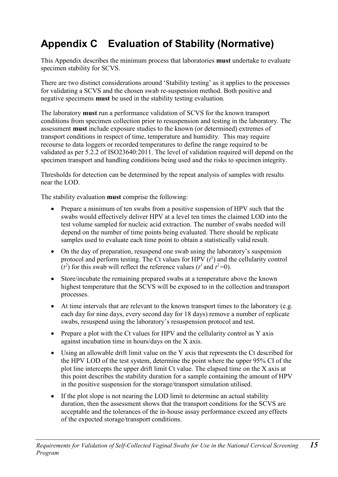# <span id="page-24-0"></span>**Appendix C Evaluation of Stability (Normative)**

This Appendix describes the minimum process that laboratories **must** undertake to evaluate specimen stability for SCVS.

There are two distinct considerations around 'Stability testing' as it applies to the processes for validating a SCVS and the chosen swab re-suspension method. Both positive and negative specimens **must** be used in the stability testing evaluation.

The laboratory **must** run a performance validation of SCVS for the known transport conditions from specimen collection prior to resuspension and testing in the laboratory. The assessment **must** include exposure studies to the known (or determined) extremes of transport conditions in respect of time, temperature and humidity. This may require recourse to data loggers or recorded temperatures to define the range required to be validated as per 5.2.2 of ISO23640:2011. The level of validation required will depend on the specimen transport and handling conditions being used and the risks to specimen integrity.

Thresholds for detection can be determined by the repeat analysis of samples with results near the LOD.

The stability evaluation **must** comprise the following:

- Prepare a minimum of ten swabs from a positive suspension of HPV such that the swabs would effectively deliver HPV at a level ten times the claimed LOD into the test volume sampled for nucleic acid extraction. The number of swabs needed will depend on the number of time points being evaluated. There should be replicate samples used to evaluate each time point to obtain a statistically valid result.
- On the day of preparation, resuspend one swab using the laboratory's suspension protocol and perform testing. The Ct values for  $HPV(t^1)$  and the cellularity control (*t*<sup>2</sup>) for this swab will reflect the reference values (*t*<sup>*l*</sup> and  $t$ <sup>2</sup>=0).
- Store/incubate the remaining prepared swabs at a temperature above the known highest temperature that the SCVS will be exposed to in the collection and transport processes.
- At time intervals that are relevant to the known transport times to the laboratory (e.g. each day for nine days, every second day for 18 days) remove a number of replicate swabs, resuspend using the laboratory's resuspension protocol and test.
- Prepare a plot with the Ct values for HPV and the cellularity control as Y axis against incubation time in hours/days on the X axis.
- Using an allowable drift limit value on the Y axis that represents the Ct described for the HPV LOD of the test system, determine the point where the upper 95% CI of the plot line intercepts the upper drift limit Ct value. The elapsed time on the X axis at this point describes the stability duration for a sample containing the amount of HPV in the positive suspension for the storage/transport simulation utilised.
- If the plot slope is not nearing the LOD limit to determine an actual stability duration, then the assessment shows that the transport conditions for the SCVS are acceptable and the tolerances of the in-house assay performance exceed any effects of the expected storage/transport conditions.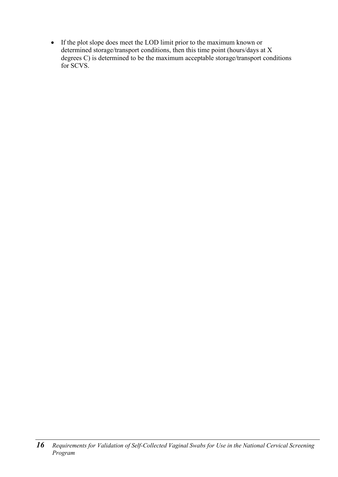• If the plot slope does meet the LOD limit prior to the maximum known or determined storage/transport conditions, then this time point (hours/days at X degrees C) is determined to be the maximum acceptable storage/transport conditions for SCVS.

*<sup>16</sup> Requirements for Validation of Self-Collected Vaginal Swabs for Use in the National Cervical Screening Program*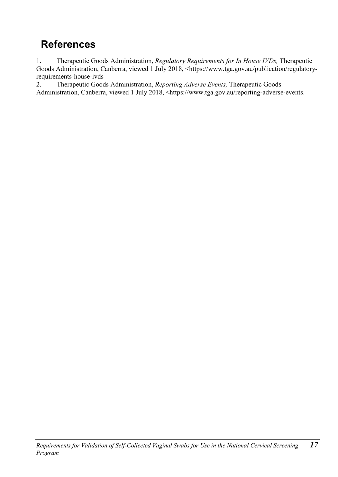### <span id="page-26-0"></span>**References**

1. Therapeutic Goods Administration, *Regulatory Requirements for In House IVDs,* Therapeutic Goods Administration, Canberra, viewed 1 July 2018, <https://www.tga.gov.au/publication/regulatoryrequirements-house-ivds

2. Therapeutic Goods Administration, *Reporting Adverse Events,* Therapeutic Goods Administration, Canberra, viewed 1 July 2018, <https://www.tga.gov.au/reporting-adverse-events.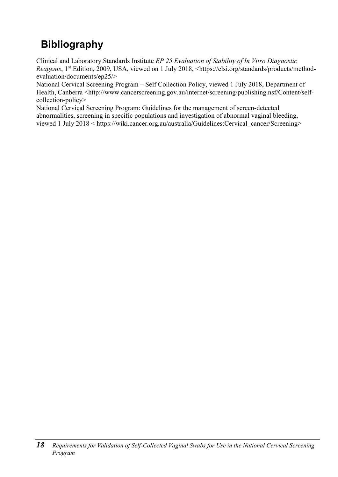# <span id="page-27-0"></span>**Bibliography**

Clinical and Laboratory Standards Institute *EP 25 Evaluation of Stability of In Vitro Diagnostic Reagents*, 1<sup>st</sup> Edition, 2009, USA, viewed on 1 July 2018, <https://clsi.org/standards/products/methodevaluation/documents/ep25/>

National Cervical Screening Program – Self Collection Policy, viewed 1 July 2018, Department of Health, Canberra <http://www.cancerscreening.gov.au/internet/screening/publishing.nsf/Content/selfcollection-policy>

National Cervical Screening Program: Guidelines for the management of screen-detected abnormalities, screening in specific populations and investigation of abnormal vaginal bleeding, viewed 1 July 2018 < https://wiki.cancer.org.au/australia/Guidelines:Cervical\_cancer/Screening>

*<sup>18</sup> Requirements for Validation of Self-Collected Vaginal Swabs for Use in the National Cervical Screening Program*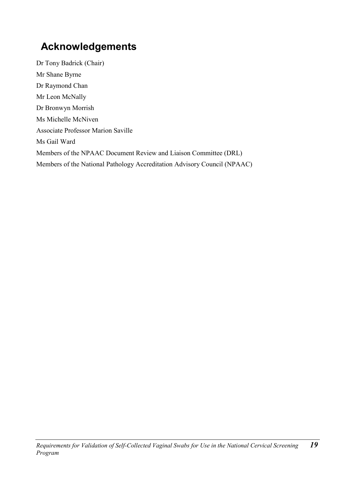# <span id="page-28-0"></span>**Acknowledgements**

Dr Tony Badrick (Chair) Mr Shane Byrne Dr Raymond Chan Mr Leon McNally Dr Bronwyn Morrish Ms Michelle McNiven Associate Professor Marion Saville Ms Gail Ward Members of the NPAAC Document Review and Liaison Committee (DRL) Members of the National Pathology Accreditation Advisory Council (NPAAC)